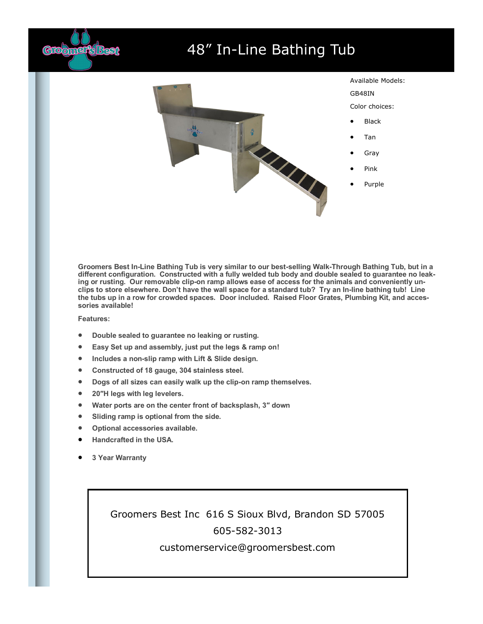

## 48" In-Line Bathing Tub



**Groomers Best In-Line Bathing Tub is very similar to our best-selling Walk-Through Bathing Tub, but in a different configuration. Constructed with a fully welded tub body and double sealed to guarantee no leaking or rusting. Our removable clip-on ramp allows ease of access for the animals and conveniently unclips to store elsewhere. Don't have the wall space for a standard tub? Try an In-line bathing tub! Line the tubs up in a row for crowded spaces. Door included. Raised Floor Grates, Plumbing Kit, and accessories available!**

## **Features:**

- **Double sealed to guarantee no leaking or rusting.**
- **Easy Set up and assembly, just put the legs & ramp on!**
- **Includes a non-slip ramp with Lift & Slide design.**
- **Constructed of 18 gauge, 304 stainless steel.**
- **Dogs of all sizes can easily walk up the clip-on ramp themselves.**
- **20″H legs with leg levelers.**
- **Water ports are on the center front of backsplash, 3″ down**
- **Sliding ramp is optional from the side.**
- **Optional accessories available.**
- **Handcrafted in the USA.**
- **3 Year Warranty**

Groomers Best Inc 616 S Sioux Blvd, Brandon SD 57005 605-582-3013

## customerservice@groomersbest.com